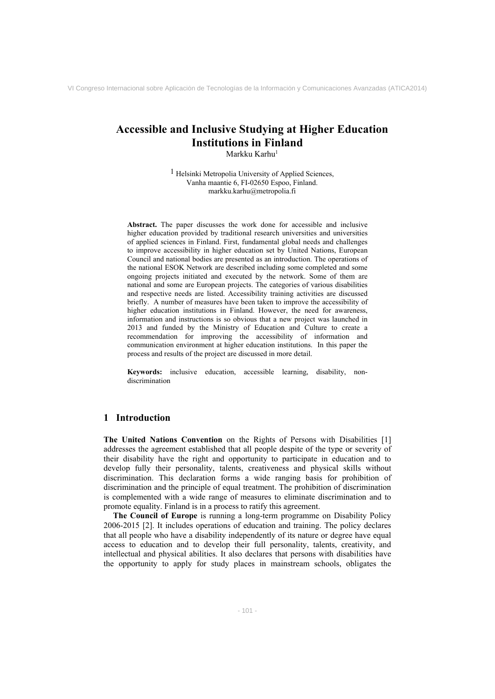# **Accessible and Inclusive Studying at Higher Education Institutions in Finland**

Markku Karhu<sup>1</sup>

1 Helsinki Metropolia University of Applied Sciences, Vanha maantie 6, FI-02650 Espoo, Finland. markku.karhu@metropolia.fi

**Abstract.** The paper discusses the work done for accessible and inclusive higher education provided by traditional research universities and universities of applied sciences in Finland. First, fundamental global needs and challenges to improve accessibility in higher education set by United Nations, European Council and national bodies are presented as an introduction. The operations of the national ESOK Network are described including some completed and some ongoing projects initiated and executed by the network. Some of them are national and some are European projects. The categories of various disabilities and respective needs are listed. Accessibility training activities are discussed briefly. A number of measures have been taken to improve the accessibility of higher education institutions in Finland. However, the need for awareness, information and instructions is so obvious that a new project was launched in 2013 and funded by the Ministry of Education and Culture to create a recommendation for improving the accessibility of information and communication environment at higher education institutions. In this paper the process and results of the project are discussed in more detail.

**Keywords:** inclusive education, accessible learning, disability, nondiscrimination

## **1 Introduction**

**The United Nations Convention** on the Rights of Persons with Disabilities [1] addresses the agreement established that all people despite of the type or severity of their disability have the right and opportunity to participate in education and to develop fully their personality, talents, creativeness and physical skills without discrimination. This declaration forms a wide ranging basis for prohibition of discrimination and the principle of equal treatment. The prohibition of discrimination is complemented with a wide range of measures to eliminate discrimination and to promote equality. Finland is in a process to ratify this agreement.

**The Council of Europe** is running a long-term programme on Disability Policy 2006-2015 [2]. It includes operations of education and training. The policy declares that all people who have a disability independently of its nature or degree have equal access to education and to develop their full personality, talents, creativity, and intellectual and physical abilities. It also declares that persons with disabilities have the opportunity to apply for study places in mainstream schools, obligates the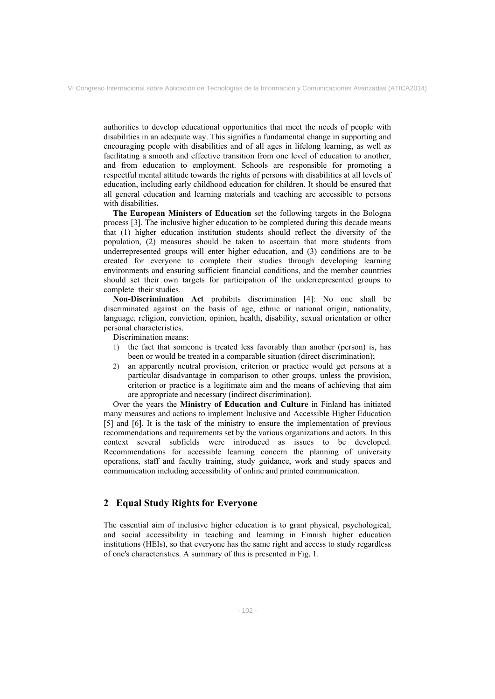authorities to develop educational opportunities that meet the needs of people with disabilities in an adequate way. This signifies a fundamental change in supporting and encouraging people with disabilities and of all ages in lifelong learning, as well as facilitating a smooth and effective transition from one level of education to another, and from education to employment. Schools are responsible for promoting a respectful mental attitude towards the rights of persons with disabilities at all levels of education, including early childhood education for children. It should be ensured that all general education and learning materials and teaching are accessible to persons with disabilities**.** 

**The European Ministers of Education** set the following targets in the Bologna process [3]. The inclusive higher education to be completed during this decade means that (1) higher education institution students should reflect the diversity of the population, (2) measures should be taken to ascertain that more students from underrepresented groups will enter higher education, and (3) conditions are to be created for everyone to complete their studies through developing learning environments and ensuring sufficient financial conditions, and the member countries should set their own targets for participation of the underrepresented groups to complete their studies.

**Non-Discrimination Act** prohibits discrimination [4]: No one shall be discriminated against on the basis of age, ethnic or national origin, nationality, language, religion, conviction, opinion, health, disability, sexual orientation or other personal characteristics.

Discrimination means:

- 1) the fact that someone is treated less favorably than another (person) is, has been or would be treated in a comparable situation (direct discrimination);
- 2) an apparently neutral provision, criterion or practice would get persons at a particular disadvantage in comparison to other groups, unless the provision, criterion or practice is a legitimate aim and the means of achieving that aim are appropriate and necessary (indirect discrimination).

Over the years the **Ministry of Education and Culture** in Finland has initiated many measures and actions to implement Inclusive and Accessible Higher Education [5] and [6]. It is the task of the ministry to ensure the implementation of previous recommendations and requirements set by the various organizations and actors. In this context several subfields were introduced as issues to be developed. Recommendations for accessible learning concern the planning of university operations, staff and faculty training, study guidance, work and study spaces and communication including accessibility of online and printed communication.

## **2 Equal Study Rights for Everyone**

The essential aim of inclusive higher education is to grant physical, psychological, and social accessibility in teaching and learning in Finnish higher education institutions (HEIs), so that everyone has the same right and access to study regardless of one's characteristics. A summary of this is presented in Fig. 1.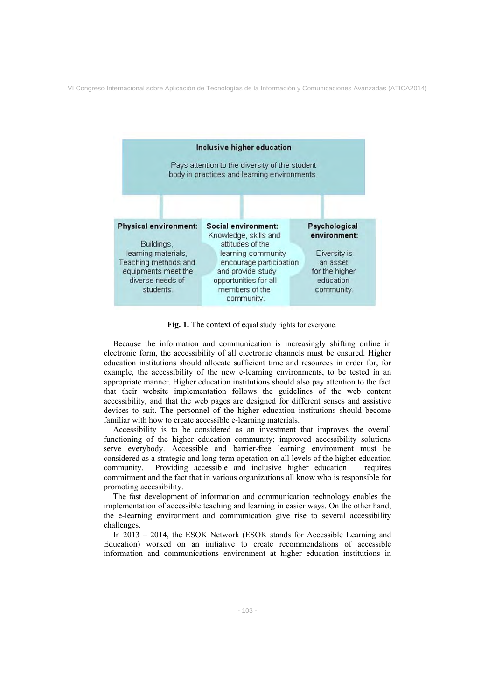

**Fig. 1.** The context of equal study rights for everyone.

Because the information and communication is increasingly shifting online in electronic form, the accessibility of all electronic channels must be ensured. Higher education institutions should allocate sufficient time and resources in order for, for example, the accessibility of the new e-learning environments, to be tested in an appropriate manner. Higher education institutions should also pay attention to the fact that their website implementation follows the guidelines of the web content accessibility, and that the web pages are designed for different senses and assistive devices to suit. The personnel of the higher education institutions should become familiar with how to create accessible e-learning materials.

Accessibility is to be considered as an investment that improves the overall functioning of the higher education community; improved accessibility solutions serve everybody. Accessible and barrier-free learning environment must be considered as a strategic and long term operation on all levels of the higher education community. Providing accessible and inclusive higher education requires commitment and the fact that in various organizations all know who is responsible for promoting accessibility.

The fast development of information and communication technology enables the implementation of accessible teaching and learning in easier ways. On the other hand, the e-learning environment and communication give rise to several accessibility challenges.

In 2013 – 2014, the ESOK Network (ESOK stands for Accessible Learning and Education) worked on an initiative to create recommendations of accessible information and communications environment at higher education institutions in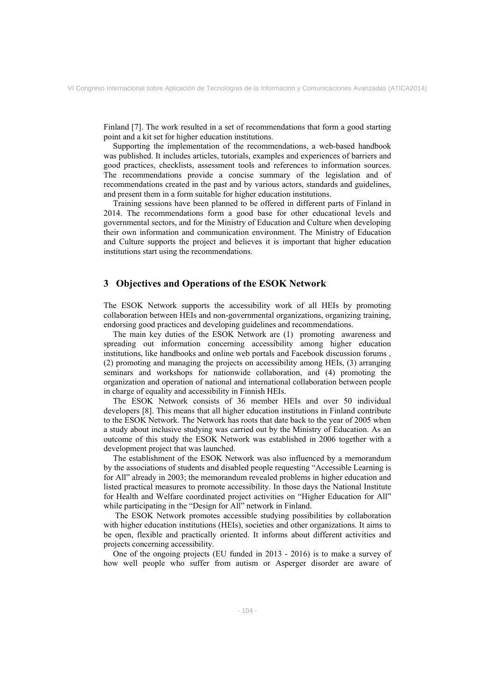Finland [7]. The work resulted in a set of recommendations that form a good starting point and a kit set for higher education institutions.

Supporting the implementation of the recommendations, a web-based handbook was published. It includes articles, tutorials, examples and experiences of barriers and good practices, checklists, assessment tools and references to information sources. The recommendations provide a concise summary of the legislation and of recommendations created in the past and by various actors, standards and guidelines, and present them in a form suitable for higher education institutions.

Training sessions have been planned to be offered in different parts of Finland in 2014. The recommendations form a good base for other educational levels and governmental sectors, and for the Ministry of Education and Culture when developing their own information and communication environment. The Ministry of Education and Culture supports the project and believes it is important that higher education institutions start using the recommendations.

### **3 Objectives and Operations of the ESOK Network**

The ESOK Network supports the accessibility work of all HEIs by promoting collaboration between HEIs and non-governmental organizations, organizing training, endorsing good practices and developing guidelines and recommendations.

The main key duties of the ESOK Network are (1) promoting awareness and spreading out information concerning accessibility among higher education institutions, like handbooks and online web portals and Facebook discussion forums , (2) promoting and managing the projects on accessibility among HEIs, (3) arranging seminars and workshops for nationwide collaboration, and (4) promoting the organization and operation of national and international collaboration between people in charge of equality and accessibility in Finnish HEIs.

The ESOK Network consists of 36 member HEIs and over 50 individual developers [8]. This means that all higher education institutions in Finland contribute to the ESOK Network. The Network has roots that date back to the year of 2005 when a study about inclusive studying was carried out by the Ministry of Education. As an outcome of this study the ESOK Network was established in 2006 together with a development project that was launched.

The establishment of the ESOK Network was also influenced by a memorandum by the associations of students and disabled people requesting "Accessible Learning is for All" already in 2003; the memorandum revealed problems in higher education and listed practical measures to promote accessibility. In those days the National Institute for Health and Welfare coordinated project activities on "Higher Education for All" while participating in the "Design for All" network in Finland.

 The ESOK Network promotes accessible studying possibilities by collaboration with higher education institutions (HEIs), societies and other organizations. It aims to be open, flexible and practically oriented. It informs about different activities and projects concerning accessibility.

One of the ongoing projects (EU funded in 2013 - 2016) is to make a survey of how well people who suffer from autism or Asperger disorder are aware of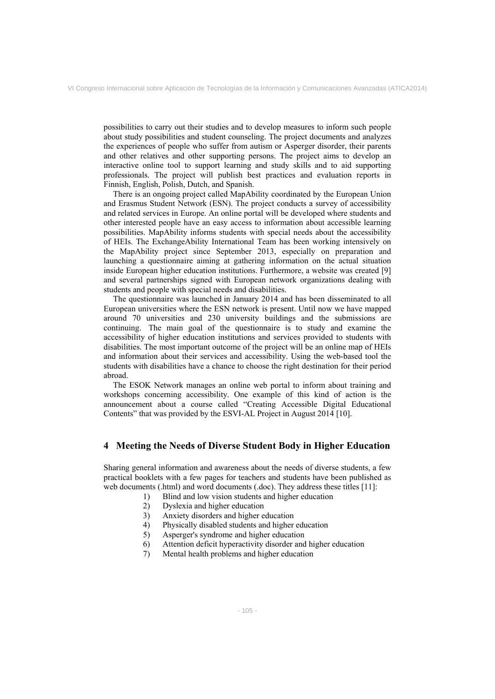possibilities to carry out their studies and to develop measures to inform such people about study possibilities and student counseling. The project documents and analyzes the experiences of people who suffer from autism or Asperger disorder, their parents and other relatives and other supporting persons. The project aims to develop an interactive online tool to support learning and study skills and to aid supporting professionals. The project will publish best practices and evaluation reports in Finnish, English, Polish, Dutch, and Spanish.

There is an ongoing project called MapAbility coordinated by the European Union and Erasmus Student Network (ESN). The project conducts a survey of accessibility and related services in Europe. An online portal will be developed where students and other interested people have an easy access to information about accessible learning possibilities. MapAbility informs students with special needs about the accessibility of HEIs. The ExchangeAbility International Team has been working intensively on the MapAbility project since September 2013, especially on preparation and launching a questionnaire aiming at gathering information on the actual situation inside European higher education institutions. Furthermore, a website was created [9] and several partnerships signed with European network organizations dealing with students and people with special needs and disabilities.

The questionnaire was launched in January 2014 and has been disseminated to all European universities where the ESN network is present. Until now we have mapped around 70 universities and 230 university buildings and the submissions are continuing. The main goal of the questionnaire is to study and examine the accessibility of higher education institutions and services provided to students with disabilities. The most important outcome of the project will be an online map of HEIs and information about their services and accessibility. Using the web-based tool the students with disabilities have a chance to choose the right destination for their period abroad.

The ESOK Network manages an online web portal to inform about training and workshops concerning accessibility. One example of this kind of action is the announcement about a course called "Creating Accessible Digital Educational Contents" that was provided by the ESVI-AL Project in August 2014 [10].

## **4 Meeting the Needs of Diverse Student Body in Higher Education**

Sharing general information and awareness about the needs of diverse students, a few practical booklets with a few pages for teachers and students have been published as web documents (.html) and word documents (.doc). They address these titles [11]:

- 1) Blind and low vision students and higher education
- 2) Dyslexia and higher education
- 3) Anxiety disorders and higher education
- 4) Physically disabled students and higher education
- 5) Asperger's syndrome and higher education
- 6) Attention deficit hyperactivity disorder and higher education
- 7) Mental health problems and higher education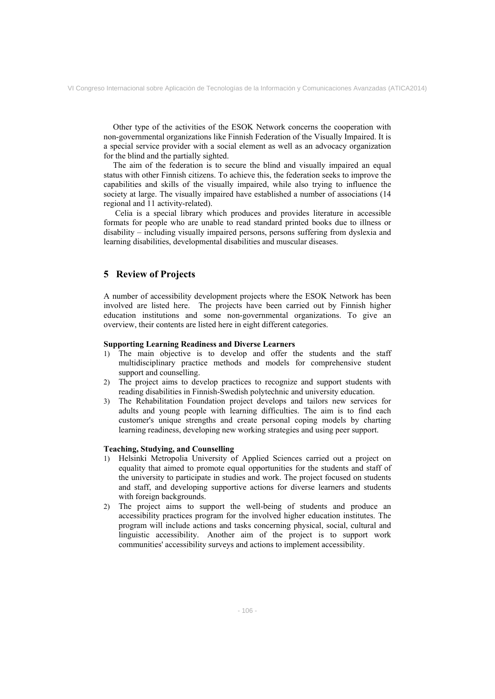Other type of the activities of the ESOK Network concerns the cooperation with non-governmental organizations like Finnish Federation of the Visually Impaired. It is a special service provider with a social element as well as an advocacy organization for the blind and the partially sighted.

The aim of the federation is to secure the blind and visually impaired an equal status with other Finnish citizens. To achieve this, the federation seeks to improve the capabilities and skills of the visually impaired, while also trying to influence the society at large. The visually impaired have established a number of associations (14 regional and 11 activity-related).

 Celia is a special library which produces and provides literature in accessible formats for people who are unable to read standard printed books due to illness or disability – including visually impaired persons, persons suffering from dyslexia and learning disabilities, developmental disabilities and muscular diseases.

# **5 Review of Projects**

A number of accessibility development projects where the ESOK Network has been involved are listed here. The projects have been carried out by Finnish higher education institutions and some non-governmental organizations. To give an overview, their contents are listed here in eight different categories.

#### **Supporting Learning Readiness and Diverse Learners**

- 1) The main objective is to develop and offer the students and the staff multidisciplinary practice methods and models for comprehensive student support and counselling.
- 2) The project aims to develop practices to recognize and support students with reading disabilities in Finnish-Swedish polytechnic and university education.
- 3) The Rehabilitation Foundation project develops and tailors new services for adults and young people with learning difficulties. The aim is to find each customer's unique strengths and create personal coping models by charting learning readiness, developing new working strategies and using peer support.

#### **Teaching, Studying, and Counselling**

- 1) Helsinki Metropolia University of Applied Sciences carried out a project on equality that aimed to promote equal opportunities for the students and staff of the university to participate in studies and work. The project focused on students and staff, and developing supportive actions for diverse learners and students with foreign backgrounds.
- 2) The project aims to support the well-being of students and produce an accessibility practices program for the involved higher education institutes. The program will include actions and tasks concerning physical, social, cultural and linguistic accessibility. Another aim of the project is to support work communities' accessibility surveys and actions to implement accessibility.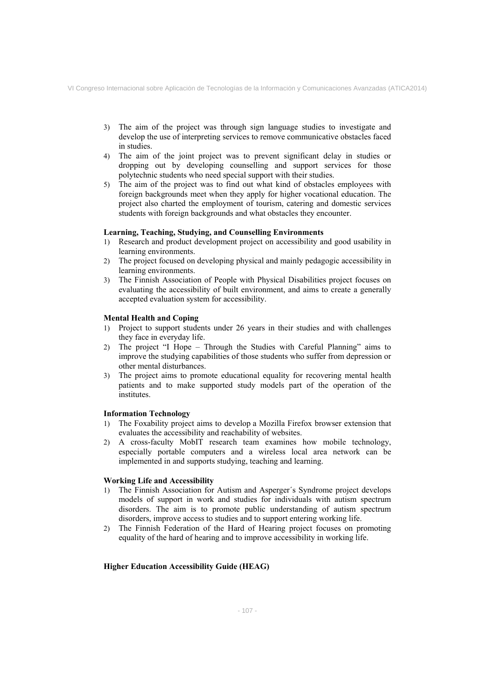- 3) The aim of the project was through sign language studies to investigate and develop the use of interpreting services to remove communicative obstacles faced in studies.
- 4) The aim of the joint project was to prevent significant delay in studies or dropping out by developing counselling and support services for those polytechnic students who need special support with their studies.
- 5) The aim of the project was to find out what kind of obstacles employees with foreign backgrounds meet when they apply for higher vocational education. The project also charted the employment of tourism, catering and domestic services students with foreign backgrounds and what obstacles they encounter.

#### **Learning, Teaching, Studying, and Counselling Environments**

- 1) Research and product development project on accessibility and good usability in learning environments.
- 2) The project focused on developing physical and mainly pedagogic accessibility in learning environments.
- 3) The Finnish Association of People with Physical Disabilities project focuses on evaluating the accessibility of built environment, and aims to create a generally accepted evaluation system for accessibility.

#### **Mental Health and Coping**

- 1) Project to support students under 26 years in their studies and with challenges they face in everyday life.
- 2) The project "I Hope Through the Studies with Careful Planning" aims to improve the studying capabilities of those students who suffer from depression or other mental disturbances.
- 3) The project aims to promote educational equality for recovering mental health patients and to make supported study models part of the operation of the institutes.

#### **Information Technology**

- 1) The Foxability project aims to develop a Mozilla Firefox browser extension that evaluates the accessibility and reachability of websites.
- 2) A cross-faculty MobIT research team examines how mobile technology, especially portable computers and a wireless local area network can be implemented in and supports studying, teaching and learning.

#### **Working Life and Accessibility**

- 1) The Finnish Association for Autism and Asperger´s Syndrome project develops models of support in work and studies for individuals with autism spectrum disorders. The aim is to promote public understanding of autism spectrum disorders, improve access to studies and to support entering working life.
- 2) The Finnish Federation of the Hard of Hearing project focuses on promoting equality of the hard of hearing and to improve accessibility in working life.

#### **Higher Education Accessibility Guide (HEAG)**